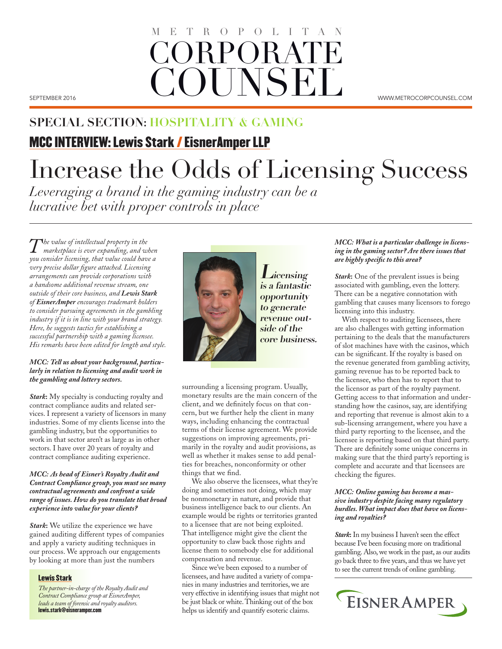## SEPTEMBER 2016 WWW.METROCORPCOUNSEL.COM CORPORAT **COUNSEL** ROPOLIT

## **SPECIAL SECTION: HOSPITALITY & GAMING**

## MCC INTERVIEW: Lewis Stark / EisnerAmper LLP

# Increase the Odds of Licensing Success

*Leveraging a brand in the gaming industry can be a lucrative bet with proper controls in place* 

*The value of intellectual property in the marketplace is ever expanding, and when you consider licensing, that value could have a very precise dollar figure attached. Licensing arrangements can provide corporations with a handsome additional revenue stream, one outside of their core business, and Lewis Stark of EisnerAmper encourages trademark holders to consider pursuing agreements in the gambling industry if it is in line with your brand strategy. Here, he suggests tactics for establishing a successful partnership with a gaming licensee. His remarks have been edited for length and style.*

#### *MCC: Tell us about your background, particularly in relation to licensing and audit work in the gambling and lottery sectors.*

*Stark***:** My specialty is conducting royalty and contract compliance audits and related services. I represent a variety of licensors in many industries. Some of my clients license into the gambling industry, but the opportunities to work in that sector aren't as large as in other sectors. I have over 20 years of royalty and contract compliance auditing experience.

#### *MCC: As head of Eisner's Royalty Audit and Contract Compliance group, you must see many contractual agreements and confront a wide range of issues. How do you translate that broad experience into value for your clients?*

*Stark***:** We utilize the experience we have gained auditing different types of companies and apply a variety auditing techniques in our process. We approach our engagements by looking at more than just the numbers

#### Lewis Stark

*The partner-in-charge of the Royalty Audit and Contract Compliance group at EisnerAmper, leads a team of forensic and royalty auditors.* lewis.stark@eisneramper.com



**Licensing is a fantastic opportunity to generate revenue outside of the core business.**

surrounding a licensing program. Usually, monetary results are the main concern of the client, and we definitely focus on that concern, but we further help the client in many ways, including enhancing the contractual terms of their license agreement. We provide suggestions on improving agreements, primarily in the royalty and audit provisions, as well as whether it makes sense to add penalties for breaches, nonconformity or other things that we find.

We also observe the licensees, what they're doing and sometimes not doing, which may be nonmonetary in nature, and provide that business intelligence back to our clients. An example would be rights or territories granted to a licensee that are not being exploited. That intelligence might give the client the opportunity to claw back those rights and license them to somebody else for additional compensation and revenue.

Since we've been exposed to a number of licensees, and have audited a variety of companies in many industries and territories, we are very effective in identifying issues that might not be just black or white. Thinking out of the box helps us identify and quantify esoteric claims.

### *MCC: What is a particular challenge in licensing in the gaming sector? Are there issues that are highly specific to this area?*

*Stark***:** One of the prevalent issues is being associated with gambling, even the lottery. There can be a negative connotation with gambling that causes many licensors to forego licensing into this industry.

With respect to auditing licensees, there are also challenges with getting information pertaining to the deals that the manufacturers of slot machines have with the casinos, which can be significant. If the royalty is based on the revenue generated from gambling activity, gaming revenue has to be reported back to the licensee, who then has to report that to the licensor as part of the royalty payment. Getting access to that information and understanding how the casinos, say, are identifying and reporting that revenue is almost akin to a sub-licensing arrangement, where you have a third party reporting to the licensee, and the licensee is reporting based on that third party. There are definitely some unique concerns in making sure that the third party's reporting is complete and accurate and that licensees are checking the figures.

#### *MCC: Online gaming has become a massive industry despite facing many regulatory hurdles. What impact does that have on licensing and royalties?*

*Stark***:** In my business I haven't seen the effect because I've been focusing more on traditional gambling. Also, we work in the past, as our audits go back three to five years, and thus we have yet to see the current trends of online gambling.